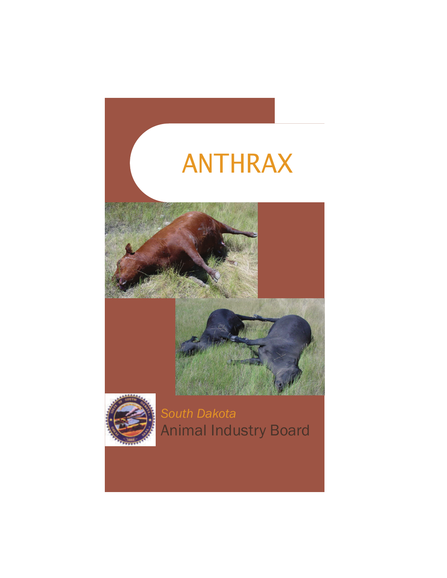



*South Dakota*  Animal Industry Board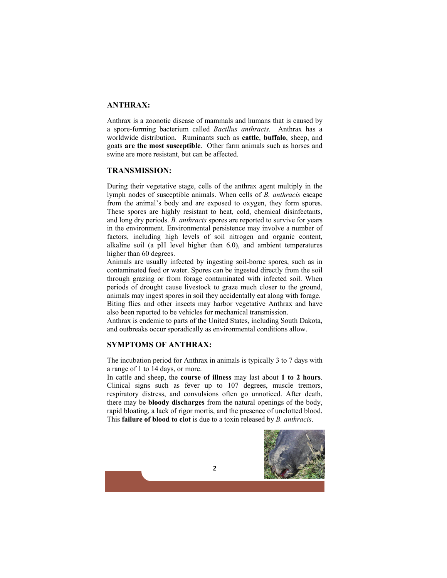# **ANTHRAX:**

Anthrax is a zoonotic disease of mammals and humans that is caused by a spore-forming bacterium called *Bacillus anthracis*. Anthrax has a worldwide distribution. Ruminants such as **cattle**, **buffalo**, sheep, and goats **are the most susceptible**. Other farm animals such as horses and swine are more resistant, but can be affected.

#### **TRANSMISSION:**

During their vegetative stage, cells of the anthrax agent multiply in the lymph nodes of susceptible animals. When cells of *B. anthracis* escape from the animal's body and are exposed to oxygen, they form spores. These spores are highly resistant to heat, cold, chemical disinfectants, and long dry periods. *B. anthracis* spores are reported to survive for years in the environment. Environmental persistence may involve a number of factors, including high levels of soil nitrogen and organic content, alkaline soil (a pH level higher than 6.0), and ambient temperatures higher than 60 degrees.

Animals are usually infected by ingesting soil-borne spores, such as in contaminated feed or water. Spores can be ingested directly from the soil through grazing or from forage contaminated with infected soil. When periods of drought cause livestock to graze much closer to the ground, animals may ingest spores in soil they accidentally eat along with forage. Biting flies and other insects may harbor vegetative Anthrax and have

also been reported to be vehicles for mechanical transmission. Anthrax is endemic to parts of the United States, including South Dakota, and outbreaks occur sporadically as environmental conditions allow.

## **SYMPTOMS OF ANTHRAX:**

The incubation period for Anthrax in animals is typically 3 to 7 days with a range of 1 to 14 days, or more.

In cattle and sheep, the **course of illness** may last about **1 to 2 hours**. Clinical signs such as fever up to 107 degrees, muscle tremors, respiratory distress, and convulsions often go unnoticed. After death, there may be **bloody discharges** from the natural openings of the body, rapid bloating, a lack of rigor mortis, and the presence of unclotted blood. This **failure of blood to clot** is due to a toxin released by *B. anthracis*.



**2**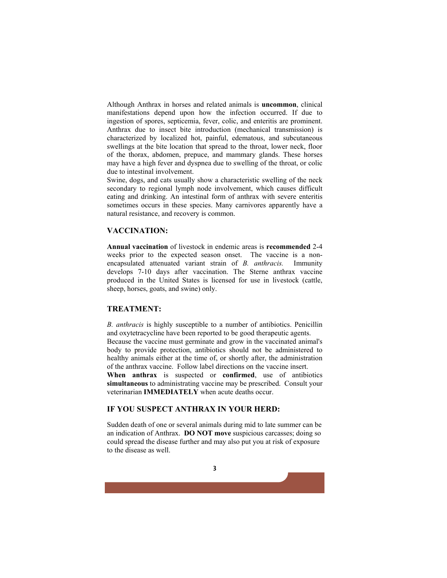Although Anthrax in horses and related animals is **uncommon**, clinical manifestations depend upon how the infection occurred. If due to ingestion of spores, septicemia, fever, colic, and enteritis are prominent. Anthrax due to insect bite introduction (mechanical transmission) is characterized by localized hot, painful, edematous, and subcutaneous swellings at the bite location that spread to the throat, lower neck, floor of the thorax, abdomen, prepuce, and mammary glands. These horses may have a high fever and dyspnea due to swelling of the throat, or colic due to intestinal involvement.

Swine, dogs, and cats usually show a characteristic swelling of the neck secondary to regional lymph node involvement, which causes difficult eating and drinking. An intestinal form of anthrax with severe enteritis sometimes occurs in these species. Many carnivores apparently have a natural resistance, and recovery is common.

### **VACCINATION:**

**Annual vaccination** of livestock in endemic areas is **recommended** 2-4 weeks prior to the expected season onset. The vaccine is a nonencapsulated attenuated variant strain of *B. anthracis.* Immunity develops 7-10 days after vaccination. The Sterne anthrax vaccine produced in the United States is licensed for use in livestock (cattle, sheep, horses, goats, and swine) only.

## **TREATMENT:**

*B. anthracis* is highly susceptible to a number of antibiotics. Penicillin and oxytetracycline have been reported to be good therapeutic agents. Because the vaccine must germinate and grow in the vaccinated animal's body to provide protection, antibiotics should not be administered to healthy animals either at the time of, or shortly after, the administration of the anthrax vaccine. Follow label directions on the vaccine insert. **When anthrax** is suspected or **confirmed**, use of antibiotics **simultaneous** to administrating vaccine may be prescribed. Consult your veterinarian **IMMEDIATELY** when acute deaths occur.

## **IF YOU SUSPECT ANTHRAX IN YOUR HERD:**

Sudden death of one or several animals during mid to late summer can be an indication of Anthrax. **DO NOT move** suspicious carcasses; doing so could spread the disease further and may also put you at risk of exposure to the disease as well.